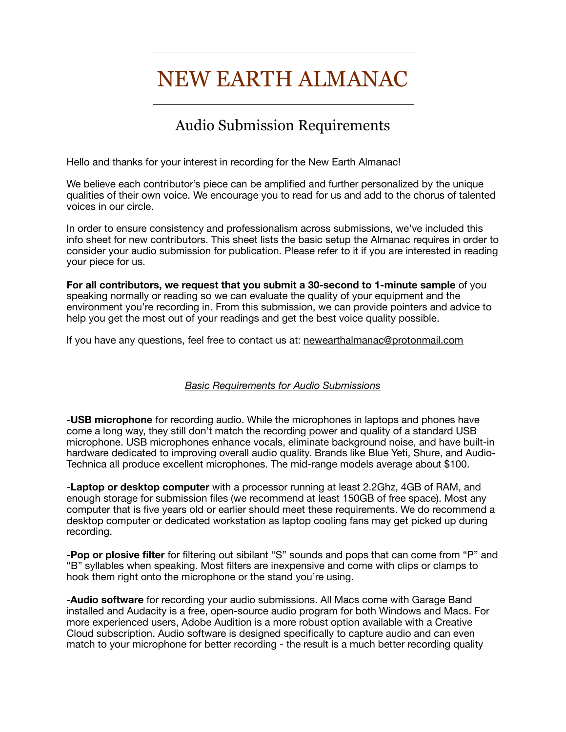## NEW EARTH ALMANAC

## Audio Submission Requirements

Hello and thanks for your interest in recording for the New Earth Almanac!

We believe each contributor's piece can be amplified and further personalized by the unique qualities of their own voice. We encourage you to read for us and add to the chorus of talented voices in our circle.

In order to ensure consistency and professionalism across submissions, we've included this info sheet for new contributors. This sheet lists the basic setup the Almanac requires in order to consider your audio submission for publication. Please refer to it if you are interested in reading your piece for us.

**For all contributors, we request that you submit a 30-second to 1-minute sample** of you speaking normally or reading so we can evaluate the quality of your equipment and the environment you're recording in. From this submission, we can provide pointers and advice to help you get the most out of your readings and get the best voice quality possible.

If you have any questions, feel free to contact us at: [newearthalmanac@protonmail.com](mailto:newearthalmanac@protonmail.com)

## *Basic Requirements for Audio Submissions*

-**USB microphone** for recording audio. While the microphones in laptops and phones have come a long way, they still don't match the recording power and quality of a standard USB microphone. USB microphones enhance vocals, eliminate background noise, and have built-in hardware dedicated to improving overall audio quality. Brands like Blue Yeti, Shure, and Audio-Technica all produce excellent microphones. The mid-range models average about \$100.

-**Laptop or desktop computer** with a processor running at least 2.2Ghz, 4GB of RAM, and enough storage for submission files (we recommend at least 150GB of free space). Most any computer that is five years old or earlier should meet these requirements. We do recommend a desktop computer or dedicated workstation as laptop cooling fans may get picked up during recording.

-**Pop or plosive filter** for filtering out sibilant "S" sounds and pops that can come from "P" and "B" syllables when speaking. Most filters are inexpensive and come with clips or clamps to hook them right onto the microphone or the stand you're using.

-**Audio software** for recording your audio submissions. All Macs come with Garage Band installed and Audacity is a free, open-source audio program for both Windows and Macs. For more experienced users, Adobe Audition is a more robust option available with a Creative Cloud subscription. Audio software is designed specifically to capture audio and can even match to your microphone for better recording - the result is a much better recording quality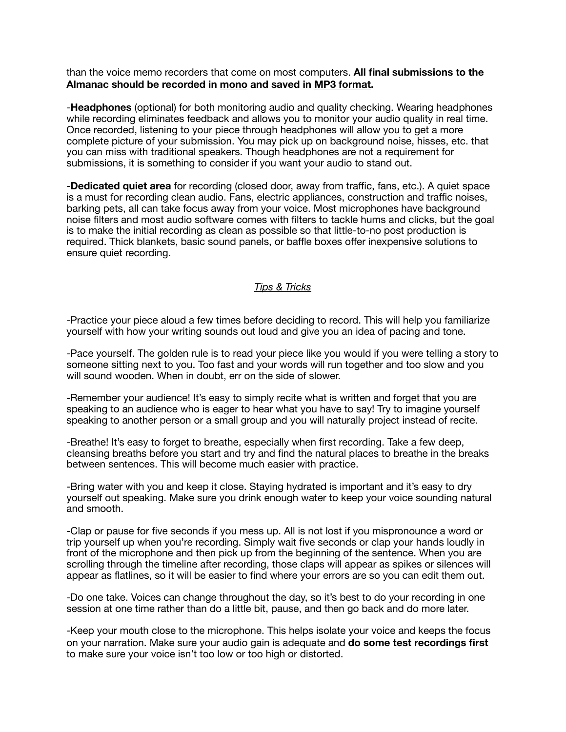than the voice memo recorders that come on most computers. **All final submissions to the Almanac should be recorded in mono and saved in MP3 format.**

-**Headphones** (optional) for both monitoring audio and quality checking. Wearing headphones while recording eliminates feedback and allows you to monitor your audio quality in real time. Once recorded, listening to your piece through headphones will allow you to get a more complete picture of your submission. You may pick up on background noise, hisses, etc. that you can miss with traditional speakers. Though headphones are not a requirement for submissions, it is something to consider if you want your audio to stand out.

-**Dedicated quiet area** for recording (closed door, away from traffic, fans, etc.). A quiet space is a must for recording clean audio. Fans, electric appliances, construction and traffic noises, barking pets, all can take focus away from your voice. Most microphones have background noise filters and most audio software comes with filters to tackle hums and clicks, but the goal is to make the initial recording as clean as possible so that little-to-no post production is required. Thick blankets, basic sound panels, or baffle boxes offer inexpensive solutions to ensure quiet recording.

## *Tips & Tricks*

-Practice your piece aloud a few times before deciding to record. This will help you familiarize yourself with how your writing sounds out loud and give you an idea of pacing and tone.

-Pace yourself. The golden rule is to read your piece like you would if you were telling a story to someone sitting next to you. Too fast and your words will run together and too slow and you will sound wooden. When in doubt, err on the side of slower.

-Remember your audience! It's easy to simply recite what is written and forget that you are speaking to an audience who is eager to hear what you have to say! Try to imagine yourself speaking to another person or a small group and you will naturally project instead of recite.

-Breathe! It's easy to forget to breathe, especially when first recording. Take a few deep, cleansing breaths before you start and try and find the natural places to breathe in the breaks between sentences. This will become much easier with practice.

-Bring water with you and keep it close. Staying hydrated is important and it's easy to dry yourself out speaking. Make sure you drink enough water to keep your voice sounding natural and smooth.

-Clap or pause for five seconds if you mess up. All is not lost if you mispronounce a word or trip yourself up when you're recording. Simply wait five seconds or clap your hands loudly in front of the microphone and then pick up from the beginning of the sentence. When you are scrolling through the timeline after recording, those claps will appear as spikes or silences will appear as flatlines, so it will be easier to find where your errors are so you can edit them out.

-Do one take. Voices can change throughout the day, so it's best to do your recording in one session at one time rather than do a little bit, pause, and then go back and do more later.

-Keep your mouth close to the microphone. This helps isolate your voice and keeps the focus on your narration. Make sure your audio gain is adequate and **do some test recordings first** to make sure your voice isn't too low or too high or distorted.